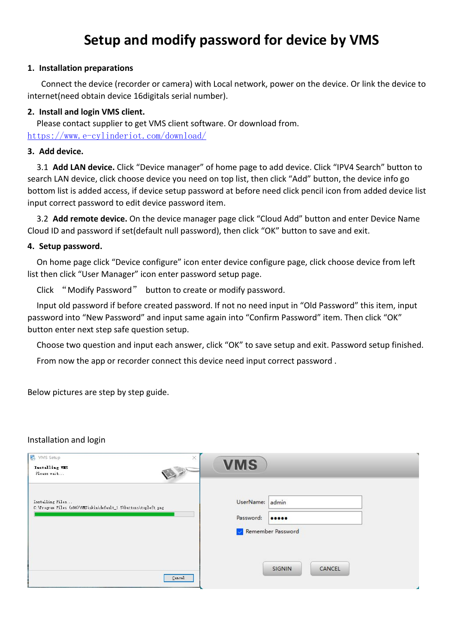# **Setup and modify password for device by VMS**

## **1. Installation preparations**

Connect the device (recorder or camera) with Local network, power on the device. Or link the device to internet(need obtain device 16digitals serial number).

## **2. Install and login VMS client.**

Please contact supplier to get VMS client software. Or download from. <https://www.e-cylinderiot.com/download/>

#### **3. Add device.**

3.1 **Add LAN device.** Click "Device manager" of home page to add device. Click "IPV4 Search" button to search LAN device, click choose device you need on top list, then click "Add" button, the device info go bottom list is added access, if device setup password at before need click pencil icon from added device list input correct password to edit device password item.

3.2 **Add remote device.** On the device manager page click "Cloud Add" button and enter Device Name Cloud ID and password if set(default null password), then click "OK" button to save and exit.

### **4. Setup password.**

On home page click "Device configure" icon enter device configure page, click choose device from left list then click "User Manager" icon enter password setup page.

Click "Modify Password" button to create or modify password.

Input old password if before created password. If not no need input in "Old Password" this item, input password into "New Password" and input same again into "Confirm Password" item. Then click "OK" button enter next step safe question setup.

Choose two question and input each answer, click "OK" to save setup and exit. Password setup finished.

From now the app or recorder connect this device need input correct password.

Below pictures are step by step guide.

#### Installation and login

| VMS Setup<br>×<br>Installing VIS<br>Please wait                                     | <b>VMS</b>                                               |   |
|-------------------------------------------------------------------------------------|----------------------------------------------------------|---|
| Installing Files<br>C:\Program Files (x86)\VMS\skin\default_1.5\buttons\topleft.png | admin<br>UserName:<br>Password:<br><br>Remember Password |   |
| Cancel                                                                              | SIGNIN<br>CANCEL                                         | z |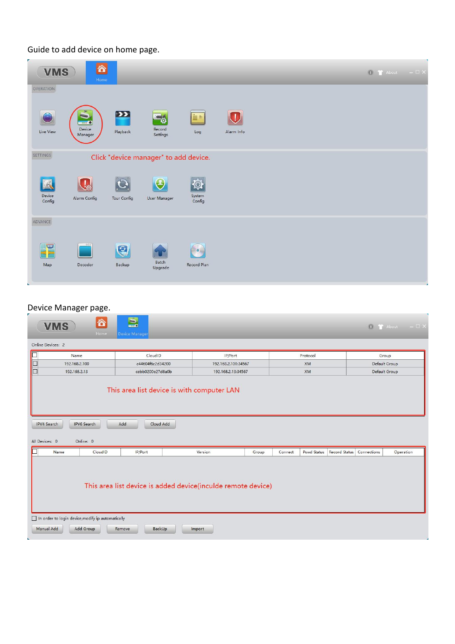Guide to add device on home page.

| <b>VMS</b>            | 谷<br>Home                     |               |                                       |                           |                                         |  | $\begin{bmatrix} 0 & 1 \\ 1 & 0 \end{bmatrix}$ About $\begin{bmatrix} - & \Box \end{bmatrix}$ X |  |
|-----------------------|-------------------------------|---------------|---------------------------------------|---------------------------|-----------------------------------------|--|-------------------------------------------------------------------------------------------------|--|
| OPERATION             |                               |               |                                       |                           |                                         |  |                                                                                                 |  |
| Live View             | $\cdots$<br>Device<br>Manager | E<br>Playback | 76<br>Record<br>Settings              | in e<br>Log               | $\left(\mathbf{I}\right)$<br>Alarm Info |  |                                                                                                 |  |
| SETTINGS              |                               |               | Click "device manager" to add device. |                           |                                         |  |                                                                                                 |  |
| A<br>Device<br>Config | Alarm Config                  | Tour Config   | $\left( 2\right)$<br>User Manager     | System<br>Config          |                                         |  |                                                                                                 |  |
| ADVANCE               |                               |               |                                       |                           |                                         |  |                                                                                                 |  |
| 320<br>Map            | Decoder                       | Q<br>Backup   | Batch<br>Upgrade                      | <b>IG.</b><br>Record Plan |                                         |  |                                                                                                 |  |

## Device Manager page.

| 谷<br><b>VMS</b><br>Home                                                                                                                                                             | $\mathbf{E}$<br>Device Manager |                     |         |             |                      | 40          | $ \Box$ $\times$<br><sup>1</sup> About |  |
|-------------------------------------------------------------------------------------------------------------------------------------------------------------------------------------|--------------------------------|---------------------|---------|-------------|----------------------|-------------|----------------------------------------|--|
| Online Devices: 2                                                                                                                                                                   |                                |                     |         |             |                      |             |                                        |  |
| Name                                                                                                                                                                                | CloudID                        | IP/Port             |         | Protocol    |                      |             | Group                                  |  |
| E<br>192,168,2,100                                                                                                                                                                  | c44604f6c2d34200               | 192.168.2.100:34567 |         | <b>XM</b>   |                      |             | Default Group                          |  |
| 192.168.2.13                                                                                                                                                                        | cebb0200e27d8a0b               | 192.168.2.13:34567  |         | <b>XM</b>   |                      |             | Default Group                          |  |
| <b>IPV4 Search</b><br><b>IPV6</b> Search<br>All Devices: 0<br>Online: 0                                                                                                             | Add<br>Cloud Add               |                     |         |             |                      |             |                                        |  |
| CloudID<br>Name                                                                                                                                                                     | IP/Port                        | Version             | Connect | Pswd Status | <b>Record Status</b> | Connections | Operation                              |  |
| Group<br>This area list device is added device(inculde remote device)<br>In order to login device, modify ip automatically<br>Manual Add<br>Add Group<br>Remove<br>BackUp<br>Import |                                |                     |         |             |                      |             |                                        |  |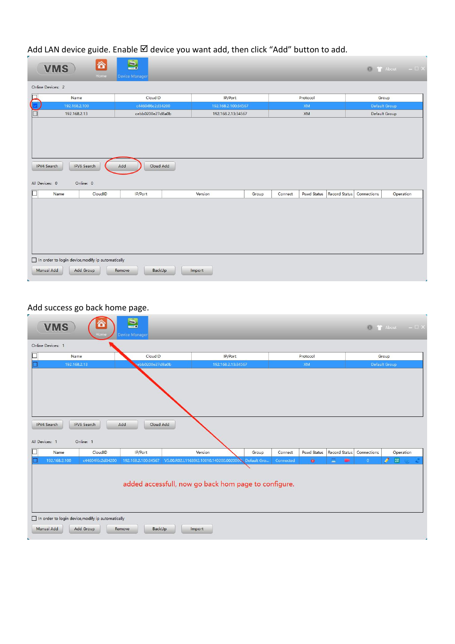Add LAN device guide. Enable Ø device you want add, then click "Add" button to add.

|                   | 合<br><b>VMS</b><br>Home                                                                                                                 | $\mathbf{S}$<br>Device Manager |                     |       |         |          |  |               | $\begin{array}{ccc} \bullet & \bullet & \bullet \\ \bullet & \bullet & \bullet \end{array}$ About $\begin{array}{ccc} & - & \square & \times \end{array}$ |  |  |
|-------------------|-----------------------------------------------------------------------------------------------------------------------------------------|--------------------------------|---------------------|-------|---------|----------|--|---------------|-----------------------------------------------------------------------------------------------------------------------------------------------------------|--|--|
| Online Devices: 2 |                                                                                                                                         |                                |                     |       |         |          |  |               |                                                                                                                                                           |  |  |
|                   | Name                                                                                                                                    | CloudID                        | IP/Port             |       |         | Protocol |  |               | Group                                                                                                                                                     |  |  |
|                   | 192.168.2.100                                                                                                                           | c44604f6c2d34200               | 192.168.2.100:34567 |       |         | XM       |  | Default Group |                                                                                                                                                           |  |  |
|                   | 192.168.2.13                                                                                                                            | cebb0200e27d8a0b               | 192.168.2.13:34567  |       |         | XM       |  | Default Group |                                                                                                                                                           |  |  |
|                   | Cloud Add<br><b>IPV6</b> Search<br>Add<br><b>IPV4 Search</b><br>All Devices: 0<br>Online: 0                                             |                                |                     |       |         |          |  |               |                                                                                                                                                           |  |  |
|                   | CloudID<br>Name                                                                                                                         | IP/Port                        | Version             | Group | Connect |          |  | Connections   | Operation                                                                                                                                                 |  |  |
|                   | Pswd Status Record Status<br>In order to login device, modify ip automatically<br>Manual Add<br>Add Group<br>BackUp<br>Remove<br>Import |                                |                     |       |         |          |  |               |                                                                                                                                                           |  |  |

## Add success go back home page.

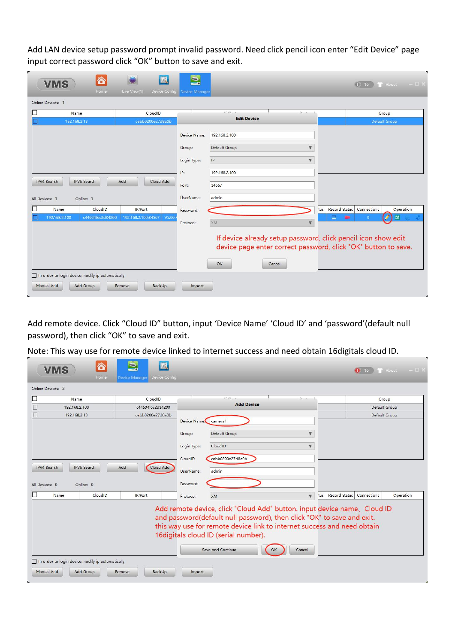Add LAN device setup password prompt invalid password. Need click pencil icon enter "Edit Device" page input correct password click "OK" button to save and exit.

| Ä<br><b>VMS</b><br>Home                           | Live View(1)                  | $\blacksquare$<br>Device Config Device Manager |                                                                                                                                 |                              | <sup>1</sup> About<br>œ<br>16         | $ \Box$ $\times$ |
|---------------------------------------------------|-------------------------------|------------------------------------------------|---------------------------------------------------------------------------------------------------------------------------------|------------------------------|---------------------------------------|------------------|
| Online Devices: 1                                 |                               |                                                |                                                                                                                                 |                              |                                       |                  |
| Name                                              | CloudID                       |                                                | $-$<br>$\sim$<br><b>Edit Device</b>                                                                                             |                              | Group                                 |                  |
| 192.168.2.13                                      | cebb0200e27d8a0b              |                                                |                                                                                                                                 |                              | Default Group                         |                  |
|                                                   |                               | Device Name:                                   | 192.168.2.100                                                                                                                   |                              |                                       |                  |
|                                                   |                               | Group:                                         | Default Group<br>$\mathbf{v}$                                                                                                   |                              |                                       |                  |
|                                                   |                               | Login Type:                                    | IP<br>$\overline{\mathbf{v}}$                                                                                                   |                              |                                       |                  |
|                                                   |                               | IP:                                            | 192.168.2.100                                                                                                                   |                              |                                       |                  |
| <b>IPV6</b> Search<br><b>IPV4 Search</b>          | Cloud Add<br>Add              | Port:                                          | 34567                                                                                                                           |                              |                                       |                  |
| All Devices: 1<br>Online: 1                       |                               | UserName:                                      | admin                                                                                                                           |                              |                                       |                  |
| CloudID<br>Name                                   | IP/Port                       | Password:                                      |                                                                                                                                 | <b>Record Status</b><br>itus | Connections<br>Operation              |                  |
| 192.168.2.100<br>c44604f6c2d34200                 | V5,00.<br>192.168.2.100:34567 | Protocol:                                      | <b>XM</b><br>$\overline{\mathbf{v}}$                                                                                            | s                            | $_{\rm 50}^{\rm 0.0}$<br>$\mathbf{0}$ |                  |
|                                                   |                               |                                                | If device already setup password, click pencil icon show edit<br>device page enter correct password, click "OK" button to save. |                              |                                       |                  |
|                                                   |                               |                                                | OK<br>Cancel                                                                                                                    |                              |                                       |                  |
| In order to login device, modify ip automatically |                               |                                                |                                                                                                                                 |                              |                                       |                  |
| Manual Add<br>Add Group                           | Remove<br>BackUp              | Import                                         |                                                                                                                                 |                              |                                       |                  |

Add remote device. Click "Cloud ID" button, input 'Device Name' 'Cloud ID' and 'password'(default null password), then click "OK" to save and exit.

Note: This way use for remote device linked to internet success and need obtain 16digitals cloud ID.

and the second state.

| Name               |                           | CloudID          | $n = 1$                                                                                                                                                                                                                                                               | $\sim$                  |                      | Group         |           |
|--------------------|---------------------------|------------------|-----------------------------------------------------------------------------------------------------------------------------------------------------------------------------------------------------------------------------------------------------------------------|-------------------------|----------------------|---------------|-----------|
| 192,168,2,100      |                           | c44604f6c2d34200 | <b>Add Device</b>                                                                                                                                                                                                                                                     |                         |                      | Default Group |           |
| 192.168.2.13       |                           | cebb0200e27d8a0b | Device Names camera1                                                                                                                                                                                                                                                  |                         |                      | Default Group |           |
|                    |                           |                  | Default Group<br>Group:                                                                                                                                                                                                                                               | v                       |                      |               |           |
|                    |                           |                  | CloudID<br>Login Type:                                                                                                                                                                                                                                                | $\overline{\mathbf{v}}$ |                      |               |           |
|                    |                           |                  | cebb0200e27d8a0b<br>CloudID                                                                                                                                                                                                                                           |                         |                      |               |           |
| <b>IPV4 Search</b> | Add<br><b>IPV6</b> Search | Cloud Add        | admin<br>UserName:                                                                                                                                                                                                                                                    |                         |                      |               |           |
| All Devices: 0     | Online: 0                 |                  | Password:                                                                                                                                                                                                                                                             |                         |                      |               |           |
| Name               | CloudID                   | IP/Port          | XM<br>Protocol:                                                                                                                                                                                                                                                       | $\mathbf{v}$<br>itus    | <b>Record Status</b> | Connections   | Operation |
|                    |                           |                  | Add remote device, click "Cloud Add" button. input device name, Cloud ID<br>and password(default null password), then click "OK" to save and exit.<br>this way use for remote device link to internet success and need obtain<br>16digitals cloud ID (serial number). |                         |                      |               |           |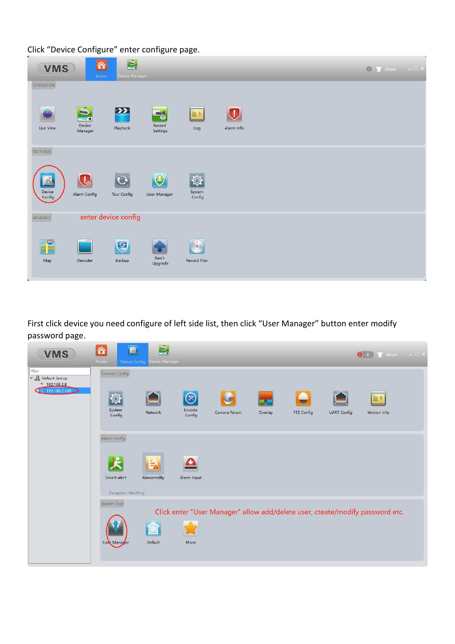Click "Device Configure" enter configure page.

| <b>VMS</b>                                    | 合<br>Home                                | S.<br>Device Manager |                          |                              |                              |  | $\begin{array}{ c c c }\hline \multicolumn{1}{ c }{\mathbb{D}} & \multicolumn{1}{ c }{\mathrm{About}} & \multicolumn{1}{ c }{\mathrm{I}} & \multicolumn{1}{ c }{\mathrm{A} } \end{array}$ |  |
|-----------------------------------------------|------------------------------------------|----------------------|--------------------------|------------------------------|------------------------------|--|-------------------------------------------------------------------------------------------------------------------------------------------------------------------------------------------|--|
| OPERATION<br>×<br>Live View                   | -7<br>≂<br>$\cdots$<br>Device<br>Manager | $\sum$<br>Playback   | 50<br>Record<br>Settings | in a<br>Log                  | $\blacksquare$<br>Alarm Info |  |                                                                                                                                                                                           |  |
| SETTINGS<br>$\mathscr{A}$<br>Device<br>Config | Alarm Config                             | Tour Config          | User Manager             | $\Theta$<br>System<br>Config |                              |  |                                                                                                                                                                                           |  |
| ADVANCE<br><b>Excessive</b><br>Map            | enter device config<br>Decoder           | Q<br>Backup          | Batch<br>Upgrade         | Record Plan                  |                              |  |                                                                                                                                                                                           |  |

First click device you need configure of left side list, then click "User Manager" button enter modify password page.

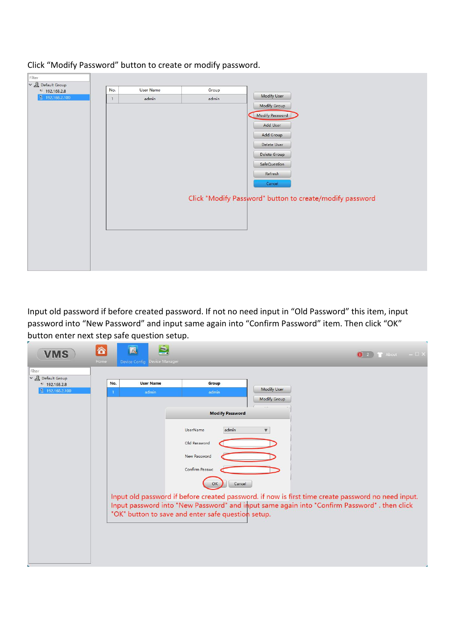| Filter                         |              |                  |       |                                                          |
|--------------------------------|--------------|------------------|-------|----------------------------------------------------------|
| $\vee$ <u>Al</u> Default Group |              |                  |       |                                                          |
| 192.168.2.8                    | No.          | <b>User Name</b> | Group | Modify User                                              |
| 1 192.168.2.100                | $\mathbf{1}$ | admin            | admin |                                                          |
|                                |              |                  |       | Modify Group                                             |
|                                |              |                  |       | Modify Password                                          |
|                                |              |                  |       | Add User                                                 |
|                                |              |                  |       | Add Group                                                |
|                                |              |                  |       |                                                          |
|                                |              |                  |       | Delete User                                              |
|                                |              |                  |       | Delete Group                                             |
|                                |              |                  |       | SafeQuestion                                             |
|                                |              |                  |       | Refresh                                                  |
|                                |              |                  |       | Cancel                                                   |
|                                |              |                  |       |                                                          |
|                                |              |                  |       | Click "Modify Password" button to create/modify password |
|                                |              |                  |       |                                                          |
|                                |              |                  |       |                                                          |
|                                |              |                  |       |                                                          |
|                                |              |                  |       |                                                          |
|                                |              |                  |       |                                                          |
|                                |              |                  |       |                                                          |
|                                |              |                  |       |                                                          |
|                                |              |                  |       |                                                          |
|                                |              |                  |       |                                                          |

# Click "Modify Password" button to create or modify password.

Input old password if before created password. If not no need input in "Old Password" this item, input password into "New Password" and input same again into "Confirm Password" item. Then click "OK" button enter next step safe question setup.

| <b>VMS</b>                                                    | 合<br>Home           | Q<br>$\Box$<br>Device Manager<br>Device Config |                                                                                                                                                                            |                                                                                                                                                                                                                   | $\overline{\mathbf{1}}$ About $-\Box \times$ |
|---------------------------------------------------------------|---------------------|------------------------------------------------|----------------------------------------------------------------------------------------------------------------------------------------------------------------------------|-------------------------------------------------------------------------------------------------------------------------------------------------------------------------------------------------------------------|----------------------------------------------|
| Filter<br>v & Default Group<br>* 192.168.2.8<br>192.168.2.100 | No.<br>$\mathbf{1}$ | <b>User Name</b><br>admin                      | Group<br>admin                                                                                                                                                             | <b>Modify User</b><br><b>Modify Group</b>                                                                                                                                                                         |                                              |
|                                                               |                     |                                                | <b>Modify Password</b><br>admin<br><b>UserName</b><br>Old Password<br>New Password<br>Confirm Passwc<br>Cancel<br>OK<br>"OK" button to save and enter safe question setup. | $\mathbf{v}$<br>Input old password if before created password. if now is first time create password no need input.<br>Input password into "New Password" and imput same again into "Confirm Password". then click |                                              |
|                                                               |                     |                                                |                                                                                                                                                                            |                                                                                                                                                                                                                   |                                              |